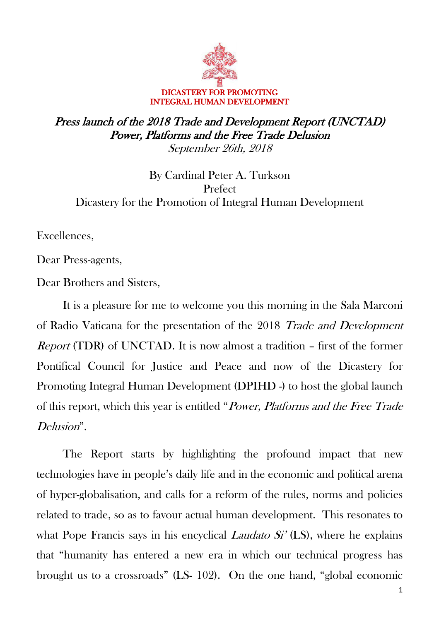

## Press launch of the 2018 Trade and Development Report (UNCTAD) Power, Platforms and the Free Trade Delusion September 26th, 2018

By Cardinal Peter A. Turkson Prefect Dicastery for the Promotion of Integral Human Development

Excellences,

Dear Press-agents,

Dear Brothers and Sisters,

It is a pleasure for me to welcome you this morning in the Sala Marconi of Radio Vaticana for the presentation of the 2018 Trade and Development Report (TDR) of UNCTAD. It is now almost a tradition – first of the former Pontifical Council for Justice and Peace and now of the Dicastery for Promoting Integral Human Development (DPIHD -) to host the global launch of this report, which this year is entitled "Power, Platforms and the Free Trade Delusion".

The Report starts by highlighting the profound impact that new technologies have in people's daily life and in the economic and political arena of hyper-globalisation, and calls for a reform of the rules, norms and policies related to trade, so as to favour actual human development. This resonates to what Pope Francis says in his encyclical *Laudato Si'* (LS), where he explains that "humanity has entered a new era in which our technical progress has brought us to a crossroads" (LS- 102). On the one hand, "global economic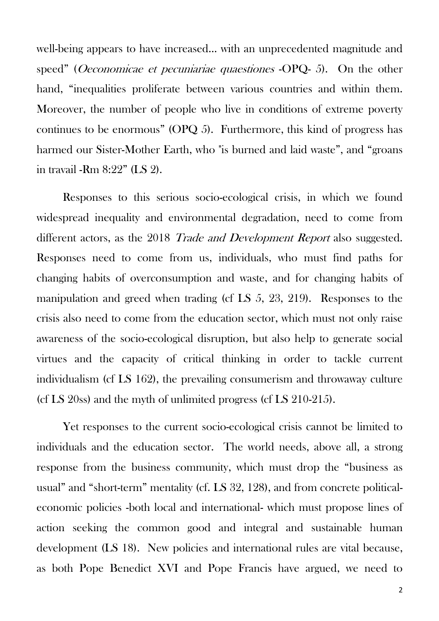well-being appears to have increased… with an unprecedented magnitude and speed" (Oeconomicae et pecuniariae quaestiones -OPQ- 5). On the other hand, "inequalities proliferate between various countries and within them. Moreover, the number of people who live in conditions of extreme poverty continues to be enormous" (OPQ 5). Furthermore, this kind of progress has harmed our Sister-Mother Earth, who "is burned and laid waste", and "groans in travail -Rm 8:22" (LS 2).

Responses to this serious socio-ecological crisis, in which we found widespread inequality and environmental degradation, need to come from different actors, as the 2018 *Trade and Development Report* also suggested. Responses need to come from us, individuals, who must find paths for changing habits of overconsumption and waste, and for changing habits of manipulation and greed when trading (cf LS 5, 23, 219). Responses to the crisis also need to come from the education sector, which must not only raise awareness of the socio-ecological disruption, but also help to generate social virtues and the capacity of critical thinking in order to tackle current individualism (cf LS 162), the prevailing consumerism and throwaway culture (cf LS 20ss) and the myth of unlimited progress (cf LS 210-215).

Yet responses to the current socio-ecological crisis cannot be limited to individuals and the education sector. The world needs, above all, a strong response from the business community, which must drop the "business as usual" and "short-term" mentality (cf. LS 32, 128), and from concrete politicaleconomic policies -both local and international- which must propose lines of action seeking the common good and integral and sustainable human development (LS 18). New policies and international rules are vital because, as both Pope Benedict XVI and Pope Francis have argued, we need to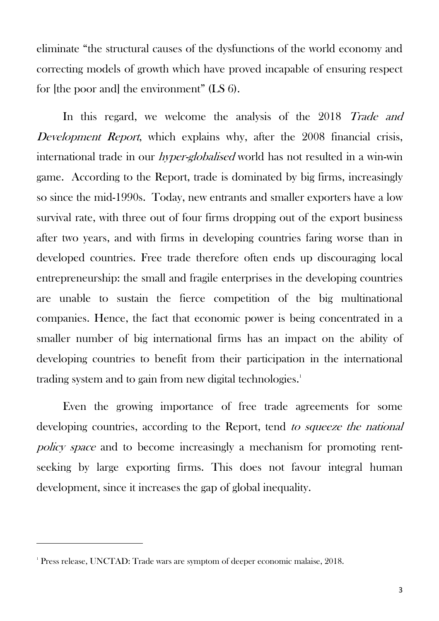eliminate "the structural causes of the dysfunctions of the world economy and correcting models of growth which have proved incapable of ensuring respect for [the poor and] the environment" (LS 6).

In this regard, we welcome the analysis of the 2018 Trade and Development Report, which explains why, after the 2008 financial crisis, international trade in our hyper-globalised world has not resulted in a win-win game. According to the Report, trade is dominated by big firms, increasingly so since the mid-1990s. Today, new entrants and smaller exporters have a low survival rate, with three out of four firms dropping out of the export business after two years, and with firms in developing countries faring worse than in developed countries. Free trade therefore often ends up discouraging local entrepreneurship: the small and fragile enterprises in the developing countries are unable to sustain the fierce competition of the big multinational companies. Hence, the fact that economic power is being concentrated in a smaller number of big international firms has an impact on the ability of developing countries to benefit from their participation in the international trading system and to gain from new digital technologies.<sup>1</sup>

Even the growing importance of free trade agreements for some developing countries, according to the Report, tend to squeeze the national policy space and to become increasingly a mechanism for promoting rentseeking by large exporting firms. This does not favour integral human development, since it increases the gap of global inequality.

 $\ddot{\phantom{a}}$ 

<sup>1</sup> Press release, UNCTAD: Trade wars are symptom of deeper economic malaise, 2018.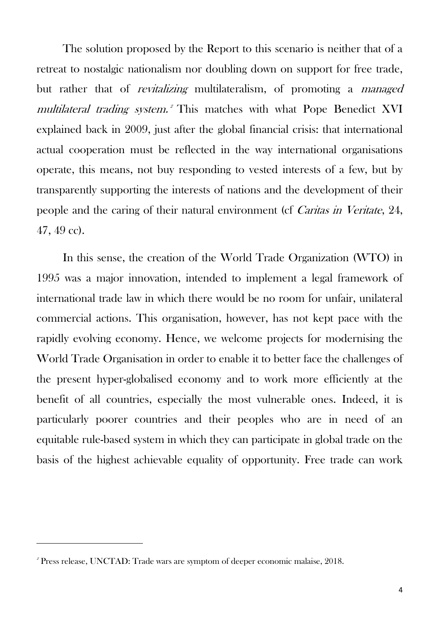The solution proposed by the Report to this scenario is neither that of a retreat to nostalgic nationalism nor doubling down on support for free trade, but rather that of *revitalizing* multilateralism, of promoting a *managed* multilateral trading system.<sup>2</sup> This matches with what Pope Benedict XVI explained back in 2009, just after the global financial crisis: that international actual cooperation must be reflected in the way international organisations operate, this means, not buy responding to vested interests of a few, but by transparently supporting the interests of nations and the development of their people and the caring of their natural environment (cf Caritas in Veritate, 24, 47, 49 cc).

In this sense, the creation of the World Trade Organization (WTO) in 1995 was a major innovation, intended to implement a legal framework of international trade law in which there would be no room for unfair, unilateral commercial actions. This organisation, however, has not kept pace with the rapidly evolving economy. Hence, we welcome projects for modernising the World Trade Organisation in order to enable it to better face the challenges of the present hyper-globalised economy and to work more efficiently at the benefit of all countries, especially the most vulnerable ones. Indeed, it is particularly poorer countries and their peoples who are in need of an equitable rule-based system in which they can participate in global trade on the basis of the highest achievable equality of opportunity. Free trade can work

 $\ddot{\phantom{a}}$ 

<sup>2</sup> Press release, UNCTAD: Trade wars are symptom of deeper economic malaise, 2018.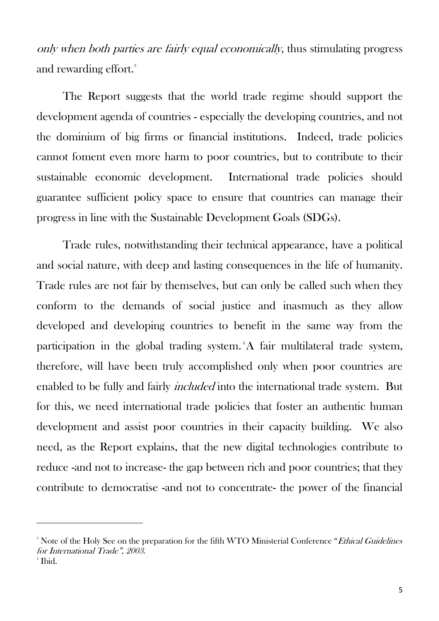only when both parties are fairly equal economically, thus stimulating progress and rewarding effort.<sup>3</sup>

The Report suggests that the world trade regime should support the development agenda of countries - especially the developing countries, and not the dominium of big firms or financial institutions. Indeed, trade policies cannot foment even more harm to poor countries, but to contribute to their sustainable economic development. International trade policies should guarantee sufficient policy space to ensure that countries can manage their progress in line with the Sustainable Development Goals (SDGs).

Trade rules, notwithstanding their technical appearance, have a political and social nature, with deep and lasting consequences in the life of humanity. Trade rules are not fair by themselves, but can only be called such when they conform to the demands of social justice and inasmuch as they allow developed and developing countries to benefit in the same way from the participation in the global trading system.<sup>4</sup>A fair multilateral trade system, therefore, will have been truly accomplished only when poor countries are enabled to be fully and fairly *included* into the international trade system. But for this, we need international trade policies that foster an authentic human development and assist poor countries in their capacity building. We also need, as the Report explains, that the new digital technologies contribute to reduce -and not to increase- the gap between rich and poor countries; that they contribute to democratise -and not to concentrate- the power of the financial

 $\ddot{\phantom{a}}$ 

<sup>&</sup>lt;sup>3</sup> Note of the Holy See on the preparation for the fifth WTO Ministerial Conference "Ethical Guidelines" for International Trade", 2003. 4 Ibid.